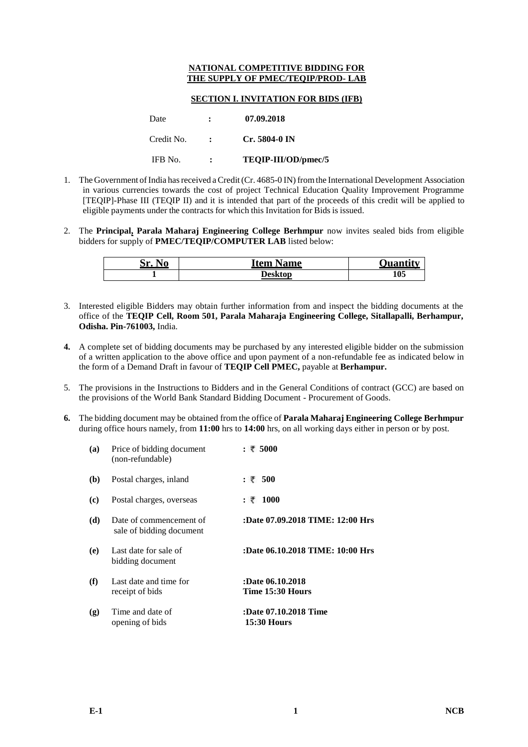## **NATIONAL COMPETITIVE BIDDING FOR THE SUPPLY OF PMEC/TEQIP/PROD- LAB**

## **SECTION I. INVITATION FOR BIDS (IFB)**

| Date       | : | 07.09.2018          |
|------------|---|---------------------|
| Credit No. |   | $Cr. 5804-0$ IN     |
| IFB No.    | : | TEOIP-III/OD/pmec/5 |

- 1. The Government of India has received a Credit (Cr. 4685-0 IN) from the International Development Association in various currencies towards the cost of project Technical Education Quality Improvement Programme [TEQIP]-Phase III (TEQIP II) and it is intended that part of the proceeds of this credit will be applied to eligible payments under the contracts for which this Invitation for Bids is issued.
- 2. The **Principal, Parala Maharaj Engineering College Berhmpur** now invites sealed bids from eligible bidders for supply of **[PMEC/TEQIP/COMPUTER LAB](javascript:PackageName(%221%22,%222%22,%2286%22,%225680%22))** listed below:

| --<br>No<br>Nr. | ttem<br>Name | 1.1122222 |
|-----------------|--------------|-----------|
|                 | Desktop      | 105       |

- 3. Interested eligible Bidders may obtain further information from and inspect the bidding documents at the office of the **TEQIP Cell, Room 501, Parala Maharaja Engineering College, Sitallapalli, Berhampur, Odisha. Pin-761003,** India.
- **4.** A complete set of bidding documents may be purchased by any interested eligible bidder on the submission of a written application to the above office and upon payment of a non-refundable fee as indicated below in the form of a Demand Draft in favour of **TEQIP Cell PMEC,** payable at **Berhampur.**
- 5. The provisions in the Instructions to Bidders and in the General Conditions of contract (GCC) are based on the provisions of the World Bank Standard Bidding Document - Procurement of Goods.
- **6.** The bidding document may be obtained from the office of **Parala Maharaj Engineering College Berhmpur** during office hours namely, from **11:00** hrs to **14:00** hrs, on all working days either in person or by post.

| (a) | Price of bidding document<br>(non-refundable)       | : ₹ 5000                                    |
|-----|-----------------------------------------------------|---------------------------------------------|
| (b) | Postal charges, inland                              | : ₹ 500                                     |
| (c) | Postal charges, overseas                            | : ₹ 1000                                    |
| (d) | Date of commencement of<br>sale of bidding document | :Date 07.09.2018 TIME: 12:00 Hrs            |
| (e) | Last date for sale of<br>bidding document           | :Date 06.10.2018 TIME: 10:00 Hrs            |
| (f) | Last date and time for<br>receipt of bids           | :Date 06.10.2018<br>Time 15:30 Hours        |
| (g) | Time and date of<br>opening of bids                 | :Date 07.10.2018 Time<br><b>15:30 Hours</b> |